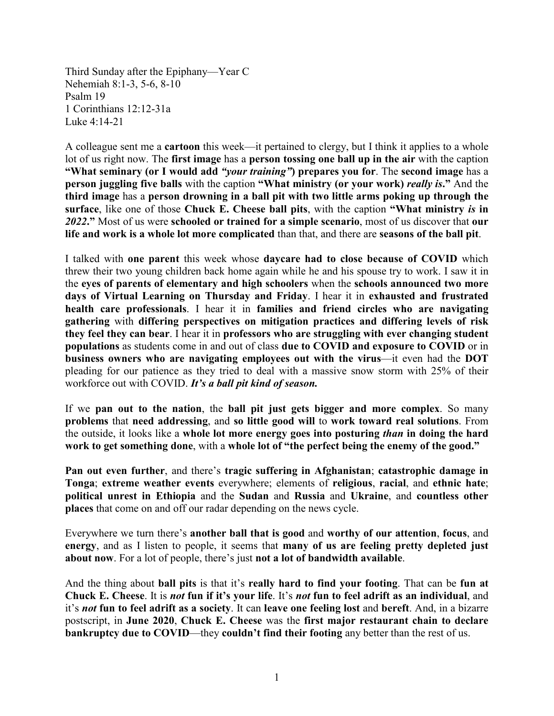Third Sunday after the Epiphany—Year C Nehemiah 8:1-3, 5-6, 8-10 Psalm 19 1 Corinthians 12:12-31a Luke 4:14-21

A colleague sent me a **cartoon** this week—it pertained to clergy, but I think it applies to a whole lot of us right now. The **first image** has a **person tossing one ball up in the air** with the caption **"What seminary (or I would add** *"your training"***) prepares you for**. The **second image** has a **person juggling five balls** with the caption **"What ministry (or your work)** *really is***."** And the **third image** has a **person drowning in a ball pit with two little arms poking up through the surface**, like one of those **Chuck E. Cheese ball pits**, with the caption **"What ministry** *is* **in**  *2022***."** Most of us were **schooled or trained for a simple scenario**, most of us discover that **our life and work is a whole lot more complicated** than that, and there are **seasons of the ball pit**.

I talked with **one parent** this week whose **daycare had to close because of COVID** which threw their two young children back home again while he and his spouse try to work. I saw it in the **eyes of parents of elementary and high schoolers** when the **schools announced two more days of Virtual Learning on Thursday and Friday**. I hear it in **exhausted and frustrated health care professionals**. I hear it in **families and friend circles who are navigating gathering** with **differing perspectives on mitigation practices and differing levels of risk they feel they can bear**. I hear it in **professors who are struggling with ever changing student populations** as students come in and out of class **due to COVID and exposure to COVID** or in **business owners who are navigating employees out with the virus**—it even had the **DOT** pleading for our patience as they tried to deal with a massive snow storm with 25% of their workforce out with COVID. *It's a ball pit kind of season.*

If we **pan out to the nation**, the **ball pit just gets bigger and more complex**. So many **problems** that **need addressing**, and **so little good will** to **work toward real solutions**. From the outside, it looks like a **whole lot more energy goes into posturing** *than* **in doing the hard work to get something done**, with a **whole lot of "the perfect being the enemy of the good."**

**Pan out even further**, and there's **tragic suffering in Afghanistan**; **catastrophic damage in Tonga**; **extreme weather events** everywhere; elements of **religious**, **racial**, and **ethnic hate**; **political unrest in Ethiopia** and the **Sudan** and **Russia** and **Ukraine**, and **countless other places** that come on and off our radar depending on the news cycle.

Everywhere we turn there's **another ball that is good** and **worthy of our attention**, **focus**, and **energy**, and as I listen to people, it seems that **many of us are feeling pretty depleted just about now**. For a lot of people, there's just **not a lot of bandwidth available**.

And the thing about **ball pits** is that it's **really hard to find your footing**. That can be **fun at Chuck E. Cheese**. It is *not* **fun if it's your life**. It's *not* **fun to feel adrift as an individual**, and it's *not* **fun to feel adrift as a society**. It can **leave one feeling lost** and **bereft**. And, in a bizarre postscript, in **June 2020**, **Chuck E. Cheese** was the **first major restaurant chain to declare bankruptcy due to COVID**—they **couldn't find their footing** any better than the rest of us.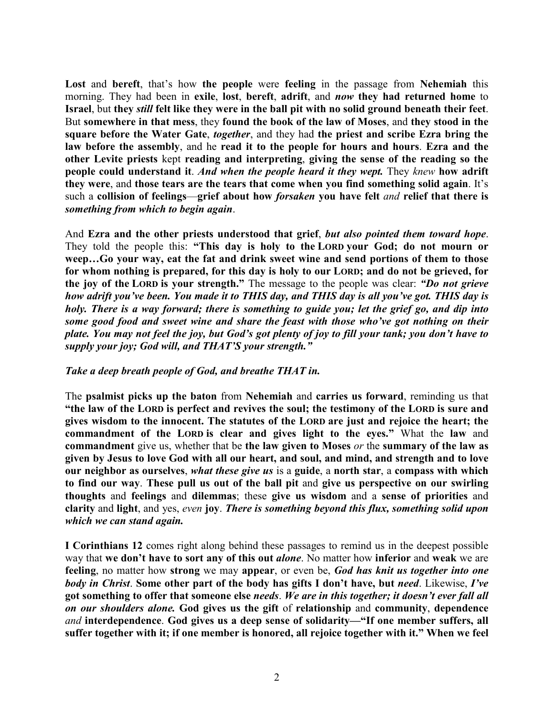**Lost** and **bereft**, that's how **the people** were **feeling** in the passage from **Nehemiah** this morning. They had been in **exile**, **lost**, **bereft**, **adrift**, and *now* **they had returned home** to **Israel**, but **they** *still* **felt like they were in the ball pit with no solid ground beneath their feet**. But **somewhere in that mess**, they **found the book of the law of Moses**, and **they stood in the square before the Water Gate**, *together*, and they had **the priest and scribe Ezra bring the law before the assembly**, and he **read it to the people for hours and hours**. **Ezra and the other Levite priests** kept **reading and interpreting**, **giving the sense of the reading so the people could understand it**. *And when the people heard it they wept.* They *knew* **how adrift they were**, and **those tears are the tears that come when you find something solid again**. It's such a **collision of feelings**—**grief about how** *forsaken* **you have felt** *and* **relief that there is**  *something from which to begin again*.

And **Ezra and the other priests understood that grief**, *but also pointed them toward hope*. They told the people this: **"This day is holy to the LORD your God; do not mourn or weep…Go your way, eat the fat and drink sweet wine and send portions of them to those for whom nothing is prepared, for this day is holy to our LORD; and do not be grieved, for the joy of the LORD is your strength."** The message to the people was clear: *"Do not grieve how adrift you've been. You made it to THIS day, and THIS day is all you've got. THIS day is holy. There is a way forward; there is something to guide you; let the grief go, and dip into some good food and sweet wine and share the feast with those who've got nothing on their plate. You may not feel the joy, but God's got plenty of joy to fill your tank; you don't have to supply your joy; God will, and THAT'S your strength."*

## *Take a deep breath people of God, and breathe THAT in.*

The **psalmist picks up the baton** from **Nehemiah** and **carries us forward**, reminding us that **"the law of the LORD is perfect and revives the soul; the testimony of the LORD is sure and gives wisdom to the innocent. The statutes of the LORD are just and rejoice the heart; the commandment of the LORD is clear and gives light to the eyes."** What the **law** and **commandment** give us, whether that be **the law given to Moses** *or* the **summary of the law as given by Jesus to love God with all our heart, and soul, and mind, and strength and to love our neighbor as ourselves**, *what these give us* is a **guide**, a **north star**, a **compass with which to find our way**. **These pull us out of the ball pit** and **give us perspective on our swirling thoughts** and **feelings** and **dilemmas**; these **give us wisdom** and a **sense of priorities** and **clarity** and **light**, and yes, *even* **joy**. *There is something beyond this flux, something solid upon which we can stand again.*

**I Corinthians 12** comes right along behind these passages to remind us in the deepest possible way that **we don't have to sort any of this out** *alone*. No matter how **inferior** and **weak** we are **feeling**, no matter how **strong** we may **appear**, or even be, *God has knit us together into one body in Christ*. **Some other part of the body has gifts I don't have, but** *need*. Likewise, *I've* **got something to offer that someone else** *needs*. *We are in this together; it doesn't ever fall all on our shoulders alone.* **God gives us the gift** of **relationship** and **community**, **dependence** *and* **interdependence**. **God gives us a deep sense of solidarity—"If one member suffers, all suffer together with it; if one member is honored, all rejoice together with it." When we feel**